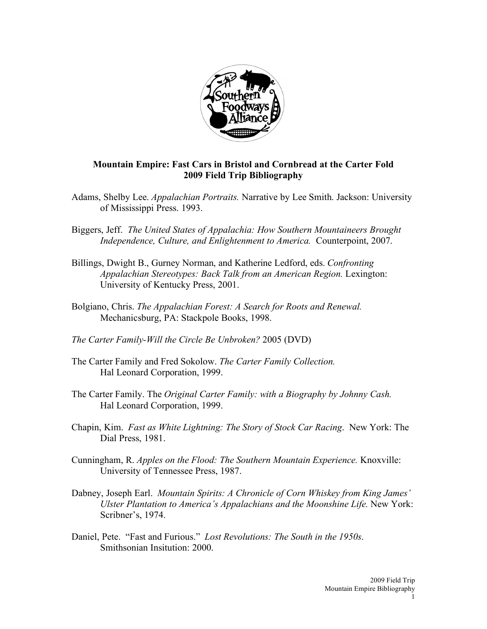

## **Mountain Empire: Fast Cars in Bristol and Cornbread at the Carter Fold 2009 Field Trip Bibliography**

- Adams, Shelby Lee. *Appalachian Portraits.* Narrative by Lee Smith. Jackson: University of Mississippi Press. 1993.
- Biggers, Jeff. *The United States of Appalachia: How Southern Mountaineers Brought Independence, Culture, and Enlightenment to America.* Counterpoint, 2007.
- Billings, Dwight B., Gurney Norman, and Katherine Ledford, eds. *Confronting Appalachian Stereotypes: Back Talk from an American Region.* Lexington: University of Kentucky Press, 2001.
- Bolgiano, Chris. *The Appalachian Forest: A Search for Roots and Renewal.*  Mechanicsburg, PA: Stackpole Books, 1998.
- *The Carter Family-Will the Circle Be Unbroken?* 2005 (DVD)
- The Carter Family and Fred Sokolow. *The Carter Family Collection.* Hal Leonard Corporation, 1999.
- The Carter Family. The *Original Carter Family: with a Biography by Johnny Cash.* Hal Leonard Corporation, 1999.
- Chapin, Kim. *Fast as White Lightning: The Story of Stock Car Racing*. New York: The Dial Press, 1981.
- Cunningham, R. *Apples on the Flood: The Southern Mountain Experience.* Knoxville: University of Tennessee Press, 1987.
- Dabney, Joseph Earl. *Mountain Spirits: A Chronicle of Corn Whiskey from King James' Ulster Plantation to America's Appalachians and the Moonshine Life.* New York: Scribner's, 1974.
- Daniel, Pete. "Fast and Furious." *Lost Revolutions: The South in the 1950s*. Smithsonian Insitution: 2000.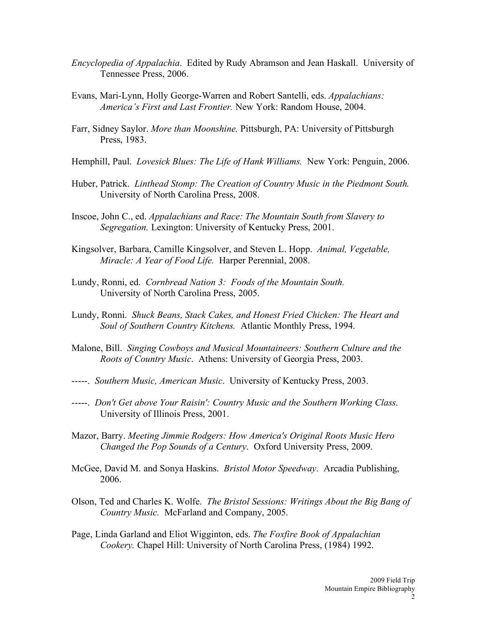- *Encyclopedia of Appalachia*. Edited by Rudy Abramson and Jean Haskall. University of Tennessee Press, 2006.
- Evans, Mari-Lynn, Holly George-Warren and Robert Santelli, eds. *Appalachians: America's First and Last Frontier.* New York: Random House, 2004.
- Farr, Sidney Saylor. *More than Moonshine.* Pittsburgh, PA: University of Pittsburgh Press, 1983.
- Hemphill, Paul. *Lovesick Blues: The Life of Hank Williams.* New York: Penguin, 2006.
- Huber, Patrick. *Linthead Stomp: The Creation of Country Music in the Piedmont South.* University of North Carolina Press, 2008.
- Inscoe, John C., ed. *Appalachians and Race: The Mountain South from Slavery to Segregation.* Lexington: University of Kentucky Press, 2001.
- Kingsolver, Barbara, Camille Kingsolver, and Steven L. Hopp. *Animal, Vegetable, Miracle: A Year of Food Life.* Harper Perennial, 2008.
- Lundy, Ronni, ed. *Cornbread Nation 3: Foods of the Mountain South.*  University of North Carolina Press, 2005.
- Lundy, Ronni. *Shuck Beans, Stack Cakes, and Honest Fried Chicken: The Heart and Soul of Southern Country Kitchens.* Atlantic Monthly Press, 1994.
- Malone, Bill. *Singing Cowboys and Musical Mountaineers: Southern Culture and the Roots of Country Music*. Athens: University of Georgia Press, 2003.
- -----. *Southern Music, American Music*. University of Kentucky Press, 2003.
- -----. *Don't Get above Your Raisin': Country Music and the Southern Working Class*. University of Illinois Press, 2001.
- Mazor, Barry. *Meeting Jimmie Rodgers: How America's Original Roots Music Hero Changed the Pop Sounds of a Century*. Oxford University Press, 2009.
- McGee, David M. and Sonya Haskins. *Bristol Motor Speedway*. Arcadia Publishing, 2006.
- Olson, Ted and Charles K. Wolfe. *The Bristol Sessions: Writings About the Big Bang of Country Music.* McFarland and Company, 2005.
- Page, Linda Garland and Eliot Wigginton, eds. *The Foxfire Book of Appalachian Cookery.* Chapel Hill: University of North Carolina Press, (1984) 1992.